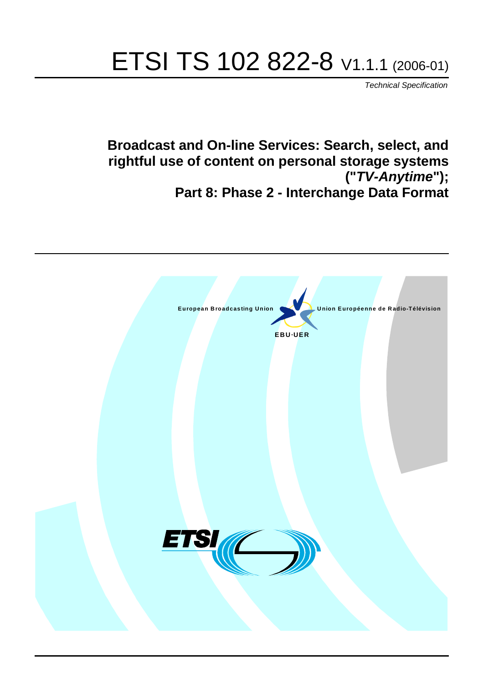# ETSI TS 102 822-8 V1.1.1 (2006-01)

Technical Specification

**Broadcast and On-line Services: Search, select, and rightful use of content on personal storage systems ("TV-Anytime"); Part 8: Phase 2 - Interchange Data Format**

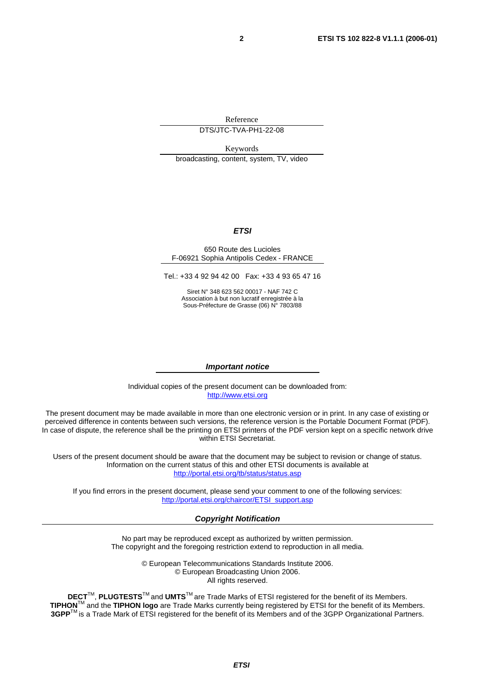Reference

DTS/JTC-TVA-PH1-22-08

Keywords broadcasting, content, system, TV, video

#### **ETSI**

#### 650 Route des Lucioles F-06921 Sophia Antipolis Cedex - FRANCE

Tel.: +33 4 92 94 42 00 Fax: +33 4 93 65 47 16

Siret N° 348 623 562 00017 - NAF 742 C Association à but non lucratif enregistrée à la Sous-Préfecture de Grasse (06) N° 7803/88

#### **Important notice**

Individual copies of the present document can be downloaded from: [http://www.etsi.org](http://www.etsi.org/)

The present document may be made available in more than one electronic version or in print. In any case of existing or perceived difference in contents between such versions, the reference version is the Portable Document Format (PDF). In case of dispute, the reference shall be the printing on ETSI printers of the PDF version kept on a specific network drive within ETSI Secretariat.

Users of the present document should be aware that the document may be subject to revision or change of status. Information on the current status of this and other ETSI documents is available at <http://portal.etsi.org/tb/status/status.asp>

If you find errors in the present document, please send your comment to one of the following services: [http://portal.etsi.org/chaircor/ETSI\\_support.asp](http://portal.etsi.org/chaircor/ETSI_support.asp)

#### **Copyright Notification**

No part may be reproduced except as authorized by written permission. The copyright and the foregoing restriction extend to reproduction in all media.

> © European Telecommunications Standards Institute 2006. © European Broadcasting Union 2006. All rights reserved.

**DECT**TM, **PLUGTESTS**TM and **UMTS**TM are Trade Marks of ETSI registered for the benefit of its Members. **TIPHON**TM and the **TIPHON logo** are Trade Marks currently being registered by ETSI for the benefit of its Members. **3GPP**TM is a Trade Mark of ETSI registered for the benefit of its Members and of the 3GPP Organizational Partners.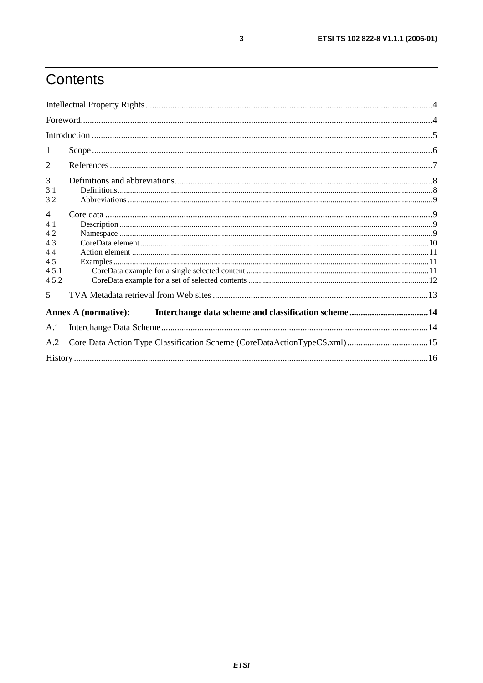# Contents

| 1              |                                                                          |  |  |
|----------------|--------------------------------------------------------------------------|--|--|
| $\overline{2}$ |                                                                          |  |  |
| 3              |                                                                          |  |  |
| 3.1            |                                                                          |  |  |
| 3.2            |                                                                          |  |  |
| $\overline{4}$ |                                                                          |  |  |
| 4.1            |                                                                          |  |  |
| 4.2            |                                                                          |  |  |
| 4.3            |                                                                          |  |  |
| 4.4            |                                                                          |  |  |
| 4.5            |                                                                          |  |  |
| 4.5.1          |                                                                          |  |  |
| 4.5.2          |                                                                          |  |  |
| 5              |                                                                          |  |  |
|                | <b>Annex A (normative):</b>                                              |  |  |
| A.1            |                                                                          |  |  |
| A.2            | Core Data Action Type Classification Scheme (CoreDataActionTypeCS.xml)15 |  |  |
|                |                                                                          |  |  |

 $\mathbf{3}$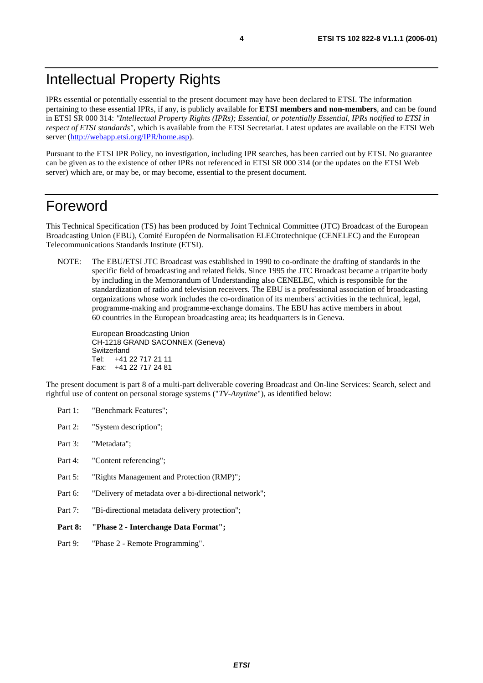# Intellectual Property Rights

IPRs essential or potentially essential to the present document may have been declared to ETSI. The information pertaining to these essential IPRs, if any, is publicly available for **ETSI members and non-members**, and can be found in ETSI SR 000 314: *"Intellectual Property Rights (IPRs); Essential, or potentially Essential, IPRs notified to ETSI in respect of ETSI standards"*, which is available from the ETSI Secretariat. Latest updates are available on the ETSI Web server [\(http://webapp.etsi.org/IPR/home.asp\)](http://webapp.etsi.org/IPR/home.asp).

Pursuant to the ETSI IPR Policy, no investigation, including IPR searches, has been carried out by ETSI. No guarantee can be given as to the existence of other IPRs not referenced in ETSI SR 000 314 (or the updates on the ETSI Web server) which are, or may be, or may become, essential to the present document.

### Foreword

This Technical Specification (TS) has been produced by Joint Technical Committee (JTC) Broadcast of the European Broadcasting Union (EBU), Comité Européen de Normalisation ELECtrotechnique (CENELEC) and the European Telecommunications Standards Institute (ETSI).

NOTE: The EBU/ETSI JTC Broadcast was established in 1990 to co-ordinate the drafting of standards in the specific field of broadcasting and related fields. Since 1995 the JTC Broadcast became a tripartite body by including in the Memorandum of Understanding also CENELEC, which is responsible for the standardization of radio and television receivers. The EBU is a professional association of broadcasting organizations whose work includes the co-ordination of its members' activities in the technical, legal, programme-making and programme-exchange domains. The EBU has active members in about 60 countries in the European broadcasting area; its headquarters is in Geneva.

European Broadcasting Union CH-1218 GRAND SACONNEX (Geneva) Switzerland Tel: +41 22 717 21 11 Fax: +41 22 717 24 81

The present document is part 8 of a multi-part deliverable covering Broadcast and On-line Services: Search, select and rightful use of content on personal storage systems ("*TV-Anytime*"), as identified below:

- Part 1: "Benchmark Features";
- Part 2: "System description";
- Part 3: "Metadata";
- Part 4: "Content referencing":
- Part 5: "Rights Management and Protection (RMP)";
- Part 6: "Delivery of metadata over a bi-directional network";
- Part 7: "Bi-directional metadata delivery protection";
- **Part 8: "Phase 2 Interchange Data Format";**
- Part 9: "Phase 2 Remote Programming".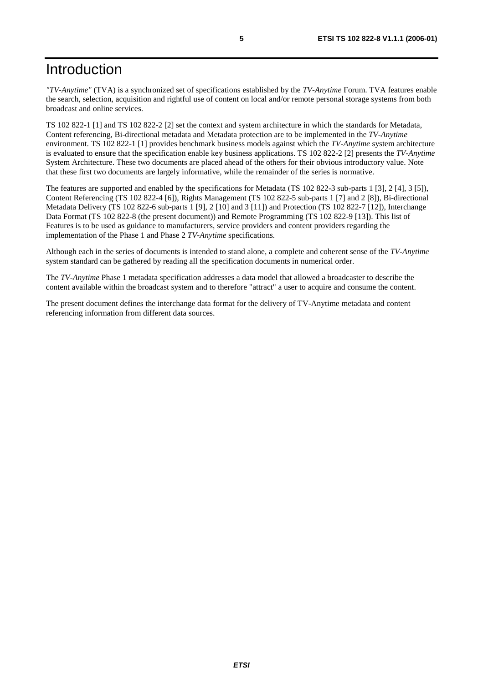### Introduction

*"TV-Anytime"* (TVA) is a synchronized set of specifications established by the *TV-Anytime* Forum. TVA features enable the search, selection, acquisition and rightful use of content on local and/or remote personal storage systems from both broadcast and online services.

TS 102 822-1 [1] and TS 102 822-2 [2] set the context and system architecture in which the standards for Metadata, Content referencing, Bi-directional metadata and Metadata protection are to be implemented in the *TV-Anytime* environment. TS 102 822-1 [1] provides benchmark business models against which the *TV-Anytime* system architecture is evaluated to ensure that the specification enable key business applications. TS 102 822-2 [2] presents the *TV-Anytime* System Architecture. These two documents are placed ahead of the others for their obvious introductory value. Note that these first two documents are largely informative, while the remainder of the series is normative.

The features are supported and enabled by the specifications for Metadata (TS 102 822-3 sub-parts 1 [3], 2 [4], 3 [5]), Content Referencing (TS 102 822-4 [6]), Rights Management (TS 102 822-5 sub-parts 1 [7] and 2 [8]), Bi-directional Metadata Delivery (TS 102 822-6 sub-parts 1 [9], 2 [10] and 3 [11]) and Protection (TS 102 822-7 [12]), Interchange Data Format (TS 102 822-8 (the present document)) and Remote Programming (TS 102 822-9 [13]). This list of Features is to be used as guidance to manufacturers, service providers and content providers regarding the implementation of the Phase 1 and Phase 2 *TV-Anytime* specifications.

Although each in the series of documents is intended to stand alone, a complete and coherent sense of the *TV-Anytime* system standard can be gathered by reading all the specification documents in numerical order.

The *TV-Anytime* Phase 1 metadata specification addresses a data model that allowed a broadcaster to describe the content available within the broadcast system and to therefore "attract" a user to acquire and consume the content.

The present document defines the interchange data format for the delivery of TV-Anytime metadata and content referencing information from different data sources.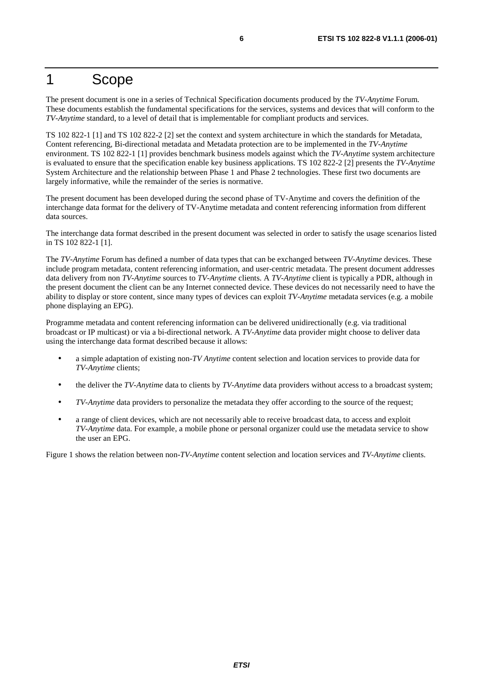#### 1 Scope

The present document is one in a series of Technical Specification documents produced by the *TV-Anytime* Forum. These documents establish the fundamental specifications for the services, systems and devices that will conform to the *TV-Anytime* standard, to a level of detail that is implementable for compliant products and services.

TS 102 822-1 [1] and TS 102 822-2 [2] set the context and system architecture in which the standards for Metadata, Content referencing, Bi-directional metadata and Metadata protection are to be implemented in the *TV-Anytime* environment. TS 102 822-1 [1] provides benchmark business models against which the *TV-Anytime* system architecture is evaluated to ensure that the specification enable key business applications. TS 102 822-2 [2] presents the *TV-Anytime* System Architecture and the relationship between Phase 1 and Phase 2 technologies. These first two documents are largely informative, while the remainder of the series is normative.

The present document has been developed during the second phase of TV-Anytime and covers the definition of the interchange data format for the delivery of TV-Anytime metadata and content referencing information from different data sources.

The interchange data format described in the present document was selected in order to satisfy the usage scenarios listed in TS 102 822-1 [1].

The *TV-Anytime* Forum has defined a number of data types that can be exchanged between *TV-Anytime* devices. These include program metadata, content referencing information, and user-centric metadata. The present document addresses data delivery from non *TV-Anytime* sources to *TV-Anytime* clients. A *TV-Anytime* client is typically a PDR, although in the present document the client can be any Internet connected device. These devices do not necessarily need to have the ability to display or store content, since many types of devices can exploit *TV-Anytime* metadata services (e.g. a mobile phone displaying an EPG).

Programme metadata and content referencing information can be delivered unidirectionally (e.g. via traditional broadcast or IP multicast) or via a bi-directional network. A *TV-Anytime* data provider might choose to deliver data using the interchange data format described because it allows:

- a simple adaptation of existing non-*TV Anytime* content selection and location services to provide data for *TV-Anytime* clients;
- the deliver the *TV-Anytime* data to clients by *TV-Anytime* data providers without access to a broadcast system;
- *TV-Anytime* data providers to personalize the metadata they offer according to the source of the request;
- a range of client devices, which are not necessarily able to receive broadcast data, to access and exploit *TV-Anytime* data. For example, a mobile phone or personal organizer could use the metadata service to show the user an EPG.

Figure 1 shows the relation between non-*TV-Anytime* content selection and location services and *TV-Anytime* clients.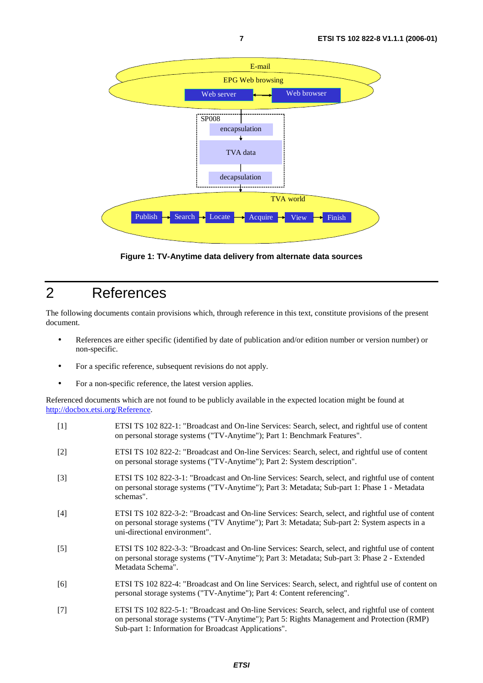

**Figure 1: TV-Anytime data delivery from alternate data sources** 

### 2 References

The following documents contain provisions which, through reference in this text, constitute provisions of the present document.

- References are either specific (identified by date of publication and/or edition number or version number) or non-specific.
- For a specific reference, subsequent revisions do not apply.
- For a non-specific reference, the latest version applies.

Referenced documents which are not found to be publicly available in the expected location might be found at <http://docbox.etsi.org/Reference>.

| $[1]$ | ETSI TS 102 822-1: "Broadcast and On-line Services: Search, select, and rightful use of content<br>on personal storage systems ("TV-Anytime"); Part 1: Benchmark Features".                                                         |
|-------|-------------------------------------------------------------------------------------------------------------------------------------------------------------------------------------------------------------------------------------|
| $[2]$ | ETSI TS 102 822-2: "Broadcast and On-line Services: Search, select, and rightful use of content<br>on personal storage systems ("TV-Anytime"); Part 2: System description".                                                         |
| $[3]$ | ETSI TS 102 822-3-1: "Broadcast and On-line Services: Search, select, and rightful use of content<br>on personal storage systems ("TV-Anytime"); Part 3: Metadata; Sub-part 1: Phase 1 - Metadata<br>schemas".                      |
| $[4]$ | ETSI TS 102 822-3-2: "Broadcast and On-line Services: Search, select, and rightful use of content<br>on personal storage systems ("TV Anytime"); Part 3: Metadata; Sub-part 2: System aspects in a<br>uni-directional environment". |
| $[5]$ | ETSI TS 102 822-3-3: "Broadcast and On-line Services: Search, select, and rightful use of content<br>on personal storage systems ("TV-Anytime"); Part 3: Metadata; Sub-part 3: Phase 2 - Extended<br>Metadata Schema".              |
| [6]   | ETSI TS 102 822-4: "Broadcast and On line Services: Search, select, and rightful use of content on<br>personal storage systems ("TV-Anytime"); Part 4: Content referencing".                                                        |
| $[7]$ | ETSI TS 102 822-5-1: "Broadcast and On-line Services: Search, select, and rightful use of content<br>on personal storage systems ("TV-Anytime"); Part 5: Rights Management and Protection (RMP)                                     |

Sub-part 1: Information for Broadcast Applications".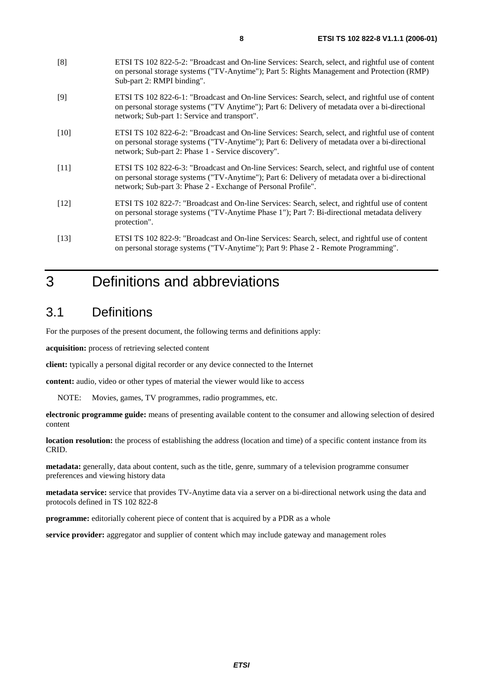- [8] ETSI TS 102 822-5-2: "Broadcast and On-line Services: Search, select, and rightful use of content on personal storage systems ("TV-Anytime"); Part 5: Rights Management and Protection (RMP) Sub-part 2: RMPI binding".
- [9] ETSI TS 102 822-6-1: "Broadcast and On-line Services: Search, select, and rightful use of content on personal storage systems ("TV Anytime"); Part 6: Delivery of metadata over a bi-directional network; Sub-part 1: Service and transport".
- [10] ETSI TS 102 822-6-2: "Broadcast and On-line Services: Search, select, and rightful use of content on personal storage systems ("TV-Anytime"); Part 6: Delivery of metadata over a bi-directional network; Sub-part 2: Phase 1 - Service discovery".
- [11] ETSI TS 102 822-6-3: "Broadcast and On-line Services: Search, select, and rightful use of content on personal storage systems ("TV-Anytime"); Part 6: Delivery of metadata over a bi-directional network; Sub-part 3: Phase 2 - Exchange of Personal Profile".
- [12] ETSI TS 102 822-7: "Broadcast and On-line Services: Search, select, and rightful use of content on personal storage systems ("TV-Anytime Phase 1"); Part 7: Bi-directional metadata delivery protection".
- [13] ETSI TS 102 822-9: "Broadcast and On-line Services: Search, select, and rightful use of content on personal storage systems ("TV-Anytime"); Part 9: Phase 2 - Remote Programming".

# 3 Definitions and abbreviations

### 3.1 Definitions

For the purposes of the present document, the following terms and definitions apply:

**acquisition:** process of retrieving selected content

**client:** typically a personal digital recorder or any device connected to the Internet

**content:** audio, video or other types of material the viewer would like to access

NOTE: Movies, games, TV programmes, radio programmes, etc.

**electronic programme guide:** means of presenting available content to the consumer and allowing selection of desired content

**location resolution:** the process of establishing the address (location and time) of a specific content instance from its CRID.

**metadata:** generally, data about content, such as the title, genre, summary of a television programme consumer preferences and viewing history data

**metadata service:** service that provides TV-Anytime data via a server on a bi-directional network using the data and protocols defined in TS 102 822-8

**programme:** editorially coherent piece of content that is acquired by a PDR as a whole

**service provider:** aggregator and supplier of content which may include gateway and management roles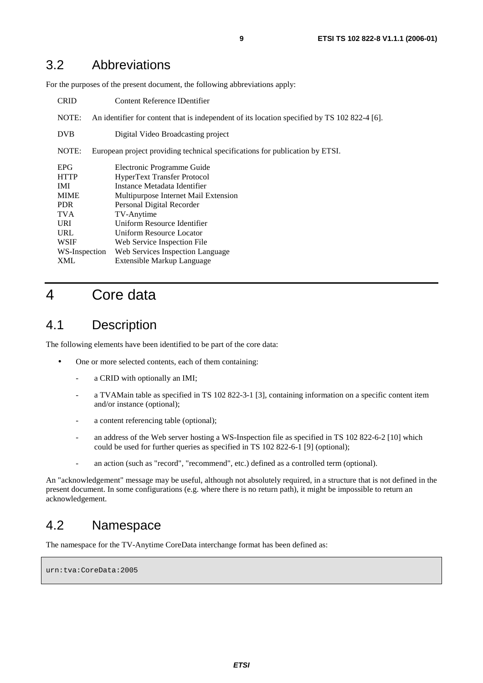#### 3.2 Abbreviations

For the purposes of the present document, the following abbreviations apply:

| <b>CRID</b>   | Content Reference IDentifier                                                                 |  |
|---------------|----------------------------------------------------------------------------------------------|--|
| NOTE:         | An identifier for content that is independent of its location specified by TS 102 822-4 [6]. |  |
| <b>DVB</b>    | Digital Video Broadcasting project                                                           |  |
| NOTE:         | European project providing technical specifications for publication by ETSI.                 |  |
| <b>EPG</b>    | Electronic Programme Guide                                                                   |  |
| <b>HTTP</b>   | <b>HyperText Transfer Protocol</b>                                                           |  |
| <b>IMI</b>    | Instance Metadata Identifier                                                                 |  |
| <b>MIME</b>   | Multipurpose Internet Mail Extension                                                         |  |
| PDR.          | Personal Digital Recorder                                                                    |  |
| <b>TVA</b>    | TV-Anytime                                                                                   |  |
| <b>URI</b>    | Uniform Resource Identifier                                                                  |  |
| URL           | Uniform Resource Locator                                                                     |  |
| <b>WSIF</b>   | Web Service Inspection File                                                                  |  |
| WS-Inspection | Web Services Inspection Language                                                             |  |
| XML           | Extensible Markup Language                                                                   |  |

### 4 Core data

#### 4.1 Description

The following elements have been identified to be part of the core data:

- One or more selected contents, each of them containing:
	- a CRID with optionally an IMI:
	- a TVAMain table as specified in TS 102 822-3-1 [3], containing information on a specific content item and/or instance (optional);
	- a content referencing table (optional);
	- an address of the Web server hosting a WS-Inspection file as specified in TS 102 822-6-2 [10] which could be used for further queries as specified in TS 102 822-6-1 [9] (optional);
	- an action (such as "record", "recommend", etc.) defined as a controlled term (optional).

An "acknowledgement" message may be useful, although not absolutely required, in a structure that is not defined in the present document. In some configurations (e.g. where there is no return path), it might be impossible to return an acknowledgement.

#### 4.2 Namespace

The namespace for the TV-Anytime CoreData interchange format has been defined as:

urn:tva:CoreData:2005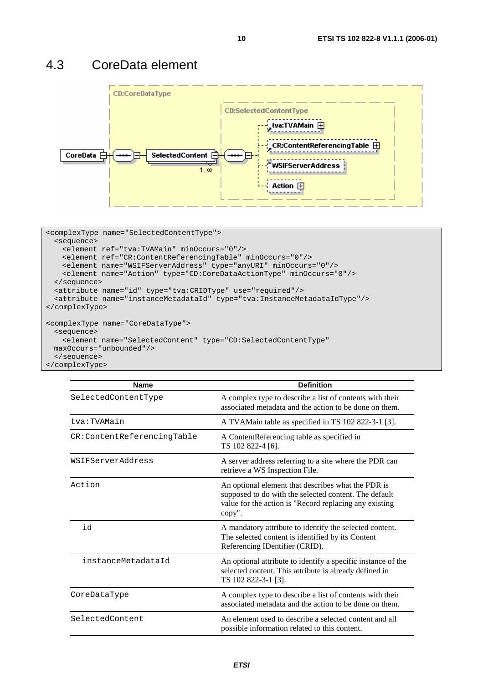#### 4.3 CoreData element



```
<complexType name="SelectedContentType"> 
  <sequence> 
    <element ref="tva:TVAMain" minOccurs="0"/> 
    <element ref="CR:ContentReferencingTable" minOccurs="0"/> 
    <element name="WSIFServerAddress" type="anyURI" minOccurs="0"/> 
    <element name="Action" type="CD:CoreDataActionType" minOccurs="0"/> 
  </sequence> 
  <attribute name="id" type="tva:CRIDType" use="required"/> 
  <attribute name="instanceMetadataId" type="tva:InstanceMetadataIdType"/> 
</complexType> 
<complexType name="CoreDataType"> 
  <sequence> 
    <element name="SelectedContent" type="CD:SelectedContentType" 
  maxOccurs="unbounded"/> 
  </sequence> 
</complexType>
```

| <b>Name</b>                | <b>Definition</b>                                                                                                                                                               |  |
|----------------------------|---------------------------------------------------------------------------------------------------------------------------------------------------------------------------------|--|
| SelectedContentType        | A complex type to describe a list of contents with their<br>associated metadata and the action to be done on them.                                                              |  |
| tva:TVAMain                | A TVAMain table as specified in TS 102 822-3-1 [3].                                                                                                                             |  |
| CR:ContentReferencingTable | A ContentReferencing table as specified in<br>TS 102 822-4 [6].                                                                                                                 |  |
| WSIFServerAddress          | A server address referring to a site where the PDR can<br>retrieve a WS Inspection File.                                                                                        |  |
| Action                     | An optional element that describes what the PDR is<br>supposed to do with the selected content. The default<br>value for the action is "Record replacing any existing<br>copy". |  |
| id                         | A mandatory attribute to identify the selected content.<br>The selected content is identified by its Content<br>Referencing IDentifier (CRID).                                  |  |
| instanceMetadataId         | An optional attribute to identify a specific instance of the<br>selected content. This attribute is already defined in<br>TS 102 822-3-1 [3].                                   |  |
| CoreDataType               | A complex type to describe a list of contents with their<br>associated metadata and the action to be done on them.                                                              |  |
| SelectedContent            | An element used to describe a selected content and all<br>possible information related to this content.                                                                         |  |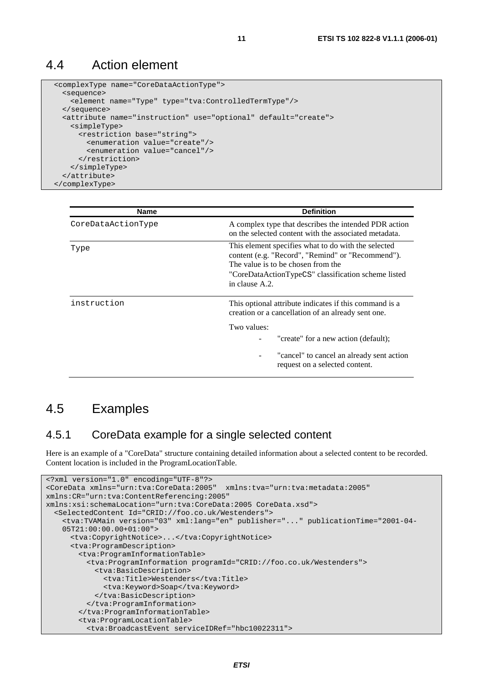#### 4.4 Action element

```
 <complexType name="CoreDataActionType"> 
  <sequence> 
    <element name="Type" type="tva:ControlledTermType"/> 
  </sequence> 
  <attribute name="instruction" use="optional" default="create"> 
    <simpleType> 
       <restriction base="string"> 
         <enumeration value="create"/> 
         <enumeration value="cancel"/> 
       </restriction> 
     </simpleType> 
   </attribute> 
 </complexType>
```

| <b>Name</b>        | <b>Definition</b>                                                                                                                                                                                                       |
|--------------------|-------------------------------------------------------------------------------------------------------------------------------------------------------------------------------------------------------------------------|
| CoreDataActionType | A complex type that describes the intended PDR action<br>on the selected content with the associated metadata.                                                                                                          |
| Type               | This element specifies what to do with the selected<br>content (e.g. "Record", "Remind" or "Recommend").<br>The value is to be chosen from the<br>"CoreDataActionTypeCS" classification scheme listed<br>in clause A.2. |
| instruction        | This optional attribute indicates if this command is a<br>creation or a cancellation of an already sent one.                                                                                                            |
|                    | Two values:                                                                                                                                                                                                             |
|                    | "create" for a new action (default);                                                                                                                                                                                    |
|                    | "cancel" to cancel an already sent action<br>request on a selected content.                                                                                                                                             |

#### 4.5 Examples

#### 4.5.1 CoreData example for a single selected content

Here is an example of a "CoreData" structure containing detailed information about a selected content to be recorded. Content location is included in the ProgramLocationTable.

```
<?xml version="1.0" encoding="UTF-8"?> 
<CoreData xmlns="urn:tva:CoreData:2005" xmlns:tva="urn:tva:metadata:2005" 
xmlns:CR="urn:tva:ContentReferencing:2005" 
xmlns:xsi:schemaLocation="urn:tva:CoreData:2005 CoreData.xsd"> 
   <SelectedContent Id="CRID://foo.co.uk/Westenders"> 
     <tva:TVAMain version="03" xml:lang="en" publisher="..." publicationTime="2001-04- 
    05T21:00:00.00+01:00"> 
      <tva:CopyrightNotice>...</tva:CopyrightNotice> 
       <tva:ProgramDescription> 
        <tva:ProgramInformationTable> 
           <tva:ProgramInformation programId="CRID://foo.co.uk/Westenders"> 
            <tva:BasicDescription> 
              <tva:Title>Westenders</tva:Title> 
               <tva:Keyword>Soap</tva:Keyword> 
            </tva:BasicDescription> 
          </tva:ProgramInformation> 
        </tva:ProgramInformationTable> 
        <tva:ProgramLocationTable> 
          <tva:BroadcastEvent serviceIDRef="hbc10022311">
```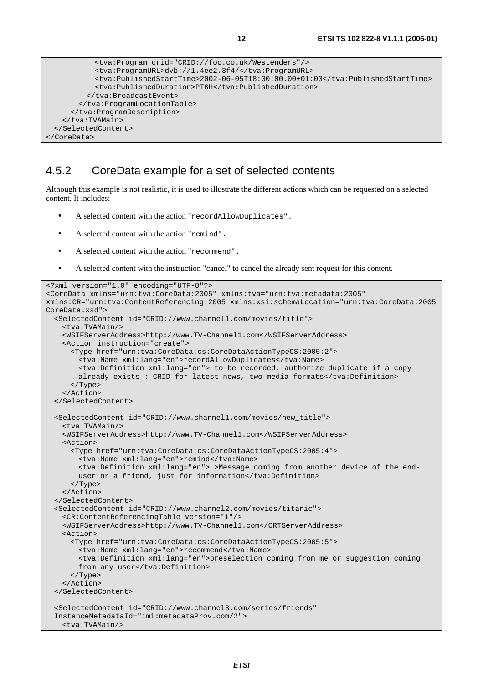```
 <tva:Program crid="CRID://foo.co.uk/Westenders"/> 
            <tva:ProgramURL>dvb://1.4ee2.3f4/</tva:ProgramURL> 
            <tva:PublishedStartTime>2002-06-05T18:00:00.00+01:00</tva:PublishedStartTime> 
            <tva:PublishedDuration>PT6H</tva:PublishedDuration> 
          </tva:BroadcastEvent> 
        </tva:ProgramLocationTable> 
      </tva:ProgramDescription> 
    </tva:TVAMain> 
  </SelectedContent> 
</CoreData>
```
#### 4.5.2 CoreData example for a set of selected contents

Although this example is not realistic, it is used to illustrate the different actions which can be requested on a selected content. It includes:

- A selected content with the action "recordAllowDuplicates".
- A selected content with the action "remind".
- A selected content with the action "recommend".
- A selected content with the instruction "cancel" to cancel the already sent request for this content.

```
<?xml version="1.0" encoding="UTF-8"?> 
<CoreData xmlns="urn:tva:CoreData:2005" xmlns:tva="urn:tva:metadata:2005" 
xmlns:CR="urn:tva:ContentReferencing:2005 xmlns:xsi:schemaLocation="urn:tva:CoreData:2005 
CoreData rsd">
   <SelectedContent id="CRID://www.channel1.com/movies/title"> 
    <tva:TVAMain/> 
    <WSIFServerAddress>http://www.TV-Channel1.com</WSIFServerAddress> 
    <Action instruction="create"> 
      <Type href="urn:tva:CoreData:cs:CoreDataActionTypeCS:2005:2"> 
        <tva:Name xml:lang="en">recordAllowDuplicates</tva:Name> 
        <tva:Definition xml:lang="en"> to be recorded, authorize duplicate if a copy 
       already exists : CRID for latest news, two media formats</tva:Definition>
      </Type> 
    </Action> 
   </SelectedContent> 
   <SelectedContent id="CRID://www.channel1.com/movies/new_title"> 
    <tva:TVAMain/> 
    <WSIFServerAddress>http://www.TV-Channel1.com</WSIFServerAddress> 
    <Action> 
       <Type href="urn:tva:CoreData:cs:CoreDataActionTypeCS:2005:4"> 
        <tva:Name xml:lang="en">remind</tva:Name> 
        <tva:Definition xml:lang="en"> >Message coming from another device of the end- 
       user or a friend, just for information</tva:Definition>
      </Type> 
    </Action> 
   </SelectedContent> 
   <SelectedContent id="CRID://www.channel2.com/movies/titanic"> 
    <CR:ContentReferencingTable version="1"/> 
    <WSIFServerAddress>http://www.TV-Channel1.com</CRTServerAddress> 
    <Action> 
      <Type href="urn:tva:CoreData:cs:CoreDataActionTypeCS:2005:5"> 
        <tva:Name xml:lang="en">recommend</tva:Name> 
        <tva:Definition xml:lang="en">preselection coming from me or suggestion coming 
       from any user</tva:Definition>
      </Type> 
    </Action> 
   </SelectedContent> 
   <SelectedContent id="CRID://www.channel3.com/series/friends" 
  InstanceMetadataId="imi:metadataProv.com/2"> 
    <tva:TVAMain/>
```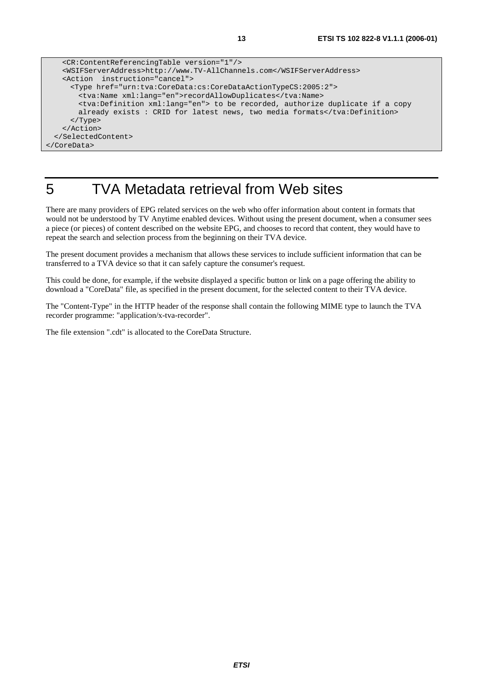```
 <CR:ContentReferencingTable version="1"/> 
    <WSIFServerAddress>http://www.TV-AllChannels.com</WSIFServerAddress> 
    <Action instruction="cancel"> 
      <Type href="urn:tva:CoreData:cs:CoreDataActionTypeCS:2005:2"> 
        <tva:Name xml:lang="en">recordAllowDuplicates</tva:Name> 
        <tva:Definition xml:lang="en"> to be recorded, authorize duplicate if a copy 
       already exists : CRID for latest news, two media formats</tva:Definition>
      </Type> 
    </Action> 
  </SelectedContent> 
</CoreData>
```
# 5 TVA Metadata retrieval from Web sites

There are many providers of EPG related services on the web who offer information about content in formats that would not be understood by TV Anytime enabled devices. Without using the present document, when a consumer sees a piece (or pieces) of content described on the website EPG, and chooses to record that content, they would have to repeat the search and selection process from the beginning on their TVA device.

The present document provides a mechanism that allows these services to include sufficient information that can be transferred to a TVA device so that it can safely capture the consumer's request.

This could be done, for example, if the website displayed a specific button or link on a page offering the ability to download a "CoreData" file, as specified in the present document, for the selected content to their TVA device.

The "Content-Type" in the HTTP header of the response shall contain the following MIME type to launch the TVA recorder programme: "application/x-tva-recorder".

The file extension ".cdt" is allocated to the CoreData Structure.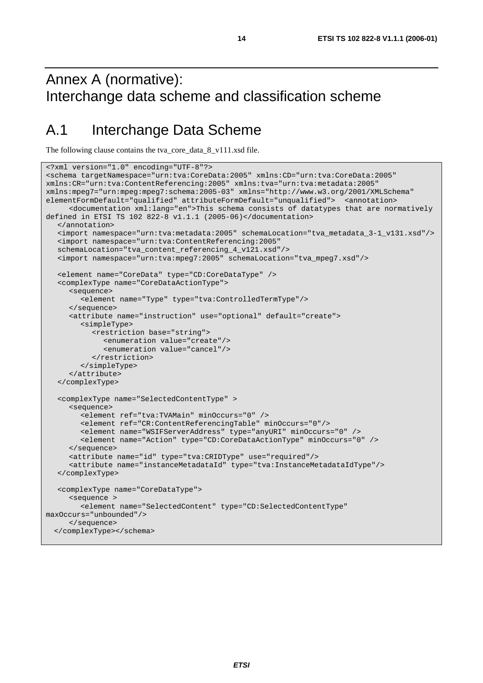# Annex A (normative): Interchange data scheme and classification scheme

## A.1 Interchange Data Scheme

The following clause contains the tva\_core\_data\_8\_v111.xsd file.

```
<?xml version="1.0" encoding="UTF-8"?> 
<schema targetNamespace="urn:tva:CoreData:2005" xmlns:CD="urn:tva:CoreData:2005" 
xmlns:CR="urn:tva:ContentReferencing:2005" xmlns:tva="urn:tva:metadata:2005" 
xmlns:mpeg7="urn:mpeg:mpeg7:schema:2005-03" xmlns="http://www.w3.org/2001/XMLSchema" 
elementFormDefault="qualified" attributeFormDefault="unqualified"> <annotation> 
      <documentation xml:lang="en">This schema consists of datatypes that are normatively 
defined in ETSI TS 102 822-8 v1.1.1 (2005-06)</documentation> 
   </annotation> 
   <import namespace="urn:tva:metadata:2005" schemaLocation="tva_metadata_3-1_v131.xsd"/> 
   <import namespace="urn:tva:ContentReferencing:2005" 
   schemaLocation="tva_content_referencing_4_v121.xsd"/> 
   <import namespace="urn:tva:mpeg7:2005" schemaLocation="tva_mpeg7.xsd"/> 
   <element name="CoreData" type="CD:CoreDataType" /> 
   <complexType name="CoreDataActionType"> 
      <sequence> 
         <element name="Type" type="tva:ControlledTermType"/> 
      </sequence> 
      <attribute name="instruction" use="optional" default="create"> 
         <simpleType> 
            <restriction base="string"> 
               <enumeration value="create"/> 
               <enumeration value="cancel"/> 
            </restriction> 
         </simpleType> 
      </attribute> 
   </complexType> 
   <complexType name="SelectedContentType" > 
      <sequence> 
         <element ref="tva:TVAMain" minOccurs="0" /> 
         <element ref="CR:ContentReferencingTable" minOccurs="0"/> 
         <element name="WSIFServerAddress" type="anyURI" minOccurs="0" /> 
         <element name="Action" type="CD:CoreDataActionType" minOccurs="0" /> 
      </sequence> 
      <attribute name="id" type="tva:CRIDType" use="required"/> 
      <attribute name="instanceMetadataId" type="tva:InstanceMetadataIdType"/> 
   </complexType> 
    <complexType name="CoreDataType"> 
      <sequence > 
         <element name="SelectedContent" type="CD:SelectedContentType" 
maxOccurs="unbounded"/> 
      </sequence> 
   </complexType></schema>
```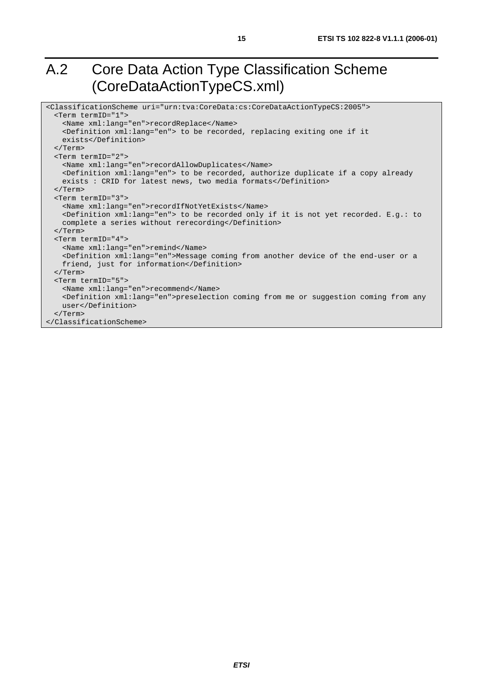# A.2 Core Data Action Type Classification Scheme (CoreDataActionTypeCS.xml)

```
<ClassificationScheme uri="urn:tva:CoreData:cs:CoreDataActionTypeCS:2005"> 
  <Term termID="1"> 
    <Name xml:lang="en">recordReplace</Name> 
    <Definition xml:lang="en"> to be recorded, replacing exiting one if it 
    exists</Definition> 
  </Term> 
  <Term termID="2"> 
    <Name xml:lang="en">recordAllowDuplicates</Name> 
    <Definition xml:lang="en"> to be recorded, authorize duplicate if a copy already 
    exists : CRID for latest news, two media formats</Definition> 
  </Term> 
  <Term termID="3"> 
    <Name xml:lang="en">recordIfNotYetExists</Name> 
    <Definition xml:lang="en"> to be recorded only if it is not yet recorded. E.g.: to 
    complete a series without rerecording</Definition> 
  </Term> 
  <Term termID="4"> 
    <Name xml:lang="en">remind</Name> 
    <Definition xml:lang="en">Message coming from another device of the end-user or a 
   friend, just for information</Definition>
   </Term> 
  <Term termID="5"> 
    <Name xml:lang="en">recommend</Name> 
    <Definition xml:lang="en">preselection coming from me or suggestion coming from any 
    user</Definition> 
   </Term> 
</ClassificationScheme>
```